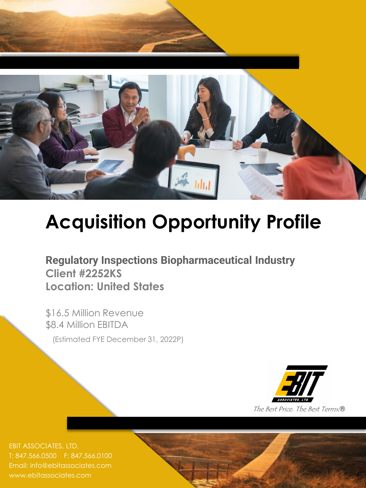

# **Acquisition Opportunity Profile**

**Regulatory Inspections Biopharmaceutical Industry Client #2252KS Location: United States**

\$16.5 Million Revenue \$8.4 Million EBITDA

(Estimated FYE December 31, 2022P)



T: 847.566.0500 F: 847.566.0100 Email: info@ebitassociates.com www.ebitassociates.com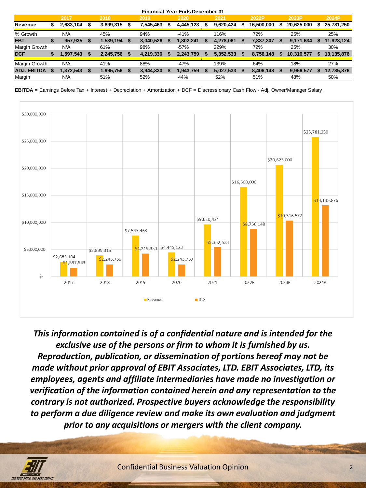|                    |    |           |      |           |   |           | <b>Financial Year Ends December 31</b> |           |            |                  |   |            |
|--------------------|----|-----------|------|-----------|---|-----------|----------------------------------------|-----------|------------|------------------|---|------------|
|                    |    | 2017      |      | 2018      |   | 2019      | 2020                                   | 2021      | 2022P      | 2023P            |   | 2024P      |
| <b>Revenue</b>     | æ  | 2,683,104 | - 56 | 3,899,315 | S | 7,545,463 | 4,445,123                              | 9,620,424 | 16,500,000 | \$<br>20,625,000 | S | 25,781,250 |
| % Growth           |    | N/A       |      | 45%       |   | 94%       | $-41%$                                 | 116%      | 72%        | 25%              |   | 25%        |
| <b>EBT</b>         | \$ | 957,935   | - 5  | 1,539,194 |   | 3,040,526 | 1,302,241                              | 4,278,061 | 7,337,307  | 9,171,634        |   | 11,923,124 |
| Margin Growth      |    | N/A       |      | 61%       |   | 98%       | $-57%$                                 | 229%      | 72%        | 25%              |   | 30%        |
| <b>DCF</b>         |    | 1,597,543 |      | 2,245,756 |   | 4,219,330 | 2,243,759                              | 5,352,533 | 8,756,148  | 10,316,577       |   | 13,135,876 |
| Margin Growth      |    | N/A       |      | 41%       |   | 88%       | $-47%$                                 | 139%      | 64%        | 18%              |   | 27%        |
| <b>ADJ, EBITDA</b> | \$ | 1,372,543 |      | 1,995,756 |   | 3,944,330 | 1,943,759                              | 5,027,533 | 8,406,148  | 9,966,577        |   | 12,785,876 |
| Margin             |    | N/A       |      | 51%       |   | 52%       | 44%                                    | 52%       | 51%        | 48%              |   | 50%        |

**EBITDA =** Earnings Before Tax + Interest + Depreciation + Amortization + DCF = Discressionary Cash Flow - Adj. Owner/Manager Salary.



*This information contained is of a confidential nature and is intended for the exclusive use of the persons or firm to whom it is furnished by us. Reproduction, publication, or dissemination of portions hereof may not be made without prior approval of EBIT Associates, LTD. EBIT Associates, LTD, its employees, agents and affiliate intermediaries have made no investigation or verification of the information contained herein and any representation to the contrary is not authorized. Prospective buyers acknowledge the responsibility to perform a due diligence review and make its own evaluation and judgment prior to any acquisitions or mergers with the client company.*

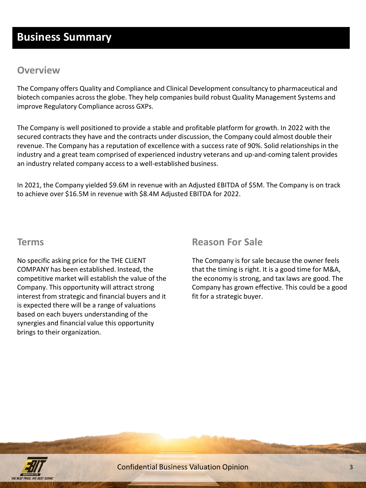# **Business Summary**

# **Overview**

The Company offers Quality and Compliance and Clinical Development consultancy to pharmaceutical and biotech companies across the globe. They help companies build robust Quality Management Systems and improve Regulatory Compliance across GXPs.

The Company is well positioned to provide a stable and profitable platform for growth. In 2022 with the secured contracts they have and the contracts under discussion, the Company could almost double their revenue. The Company has a reputation of excellence with a success rate of 90%. Solid relationships in the industry and a great team comprised of experienced industry veterans and up-and-coming talent provides an industry related company access to a well-established business.

In 2021, the Company yielded \$9.6M in revenue with an Adjusted EBITDA of \$5M. The Company is on track to achieve over \$16.5M in revenue with \$8.4M Adjusted EBITDA for 2022.

### **Terms**

No specific asking price for the THE CLIENT COMPANY has been established. Instead, the competitive market will establish the value of the Company. This opportunity will attract strong interest from strategic and financial buyers and it is expected there will be a range of valuations based on each buyers understanding of the synergies and financial value this opportunity brings to their organization.

## **Reason For Sale**

The Company is for sale because the owner feels that the timing is right. It is a good time for M&A, the economy is strong, and tax laws are good. The Company has grown effective. This could be a good fit for a strategic buyer.

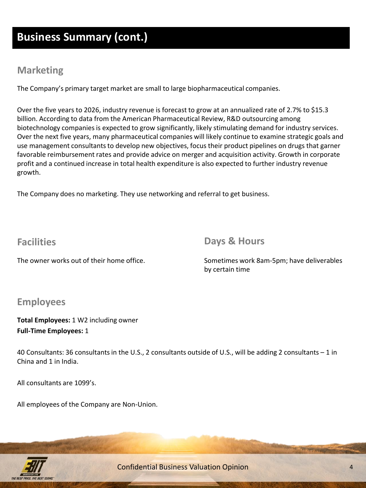# **Business Summary (cont.)**

# **Marketing**

The Company's primary target market are small to large biopharmaceutical companies.

Over the five years to 2026, industry revenue is forecast to grow at an annualized rate of 2.7% to \$15.3 billion. According to data from the American Pharmaceutical Review, R&D outsourcing among biotechnology companies is expected to grow significantly, likely stimulating demand for industry services. Over the next five years, many pharmaceutical companies will likely continue to examine strategic goals and use management consultants to develop new objectives, focus their product pipelines on drugs that garner favorable reimbursement rates and provide advice on merger and acquisition activity. Growth in corporate profit and a continued increase in total health expenditure is also expected to further industry revenue growth.

The Company does no marketing. They use networking and referral to get business.

# **Facilities**

**Days & Hours**

The owner works out of their home office.

Sometimes work 8am-5pm; have deliverables by certain time

# **Employees**

**Total Employees:** 1 W2 including owner **Full-Time Employees:** 1

40 Consultants: 36 consultants in the U.S., 2 consultants outside of U.S., will be adding 2 consultants – 1 in China and 1 in India.

All consultants are 1099's.

All employees of the Company are Non-Union.



Confidential Business Valuation Opinion 4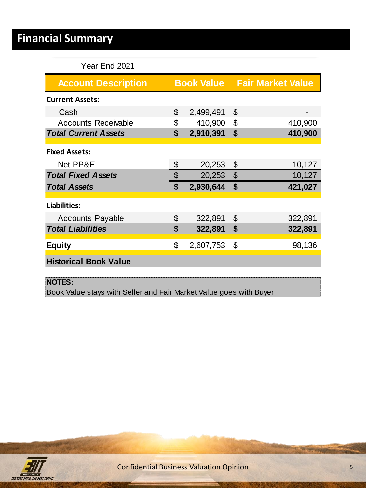# **Financial Summary**

## Year End 2021

| <b>Account Description</b>   |                   |                           | <b>Book Value Fair Market Value</b> |
|------------------------------|-------------------|---------------------------|-------------------------------------|
| <b>Current Assets:</b>       |                   |                           |                                     |
| Cash                         | \$<br>2,499,491   | \$                        |                                     |
| <b>Accounts Receivable</b>   | \$<br>410,900     | - \$                      | 410,900                             |
| <b>Total Current Assets</b>  | \$<br>2,910,391   | $\boldsymbol{\mathsf{s}}$ | 410,900                             |
| <b>Fixed Assets:</b>         |                   |                           |                                     |
| Net PP&E                     | \$<br>20,253      | \$                        | 10,127                              |
| <b>Total Fixed Assets</b>    | \$<br>$20,253$ \$ |                           | 10,127                              |
| <b>Total Assets</b>          | \$<br>2,930,644   | \$                        | 421,027                             |
| Liabilities:                 |                   |                           |                                     |
| <b>Accounts Payable</b>      | \$<br>322,891     | \$                        | 322,891                             |
| <b>Total Liabilities</b>     | \$<br>322,891     | $\sqrt[6]{3}$             | 322,891                             |
| <b>Equity</b>                | \$<br>2,607,753   | \$                        | 98,136                              |
| <b>Historical Book Value</b> |                   |                           |                                     |
| NOTES:                       |                   |                           |                                     |

Book Value stays with Seller and Fair Market Value goes with Buyer

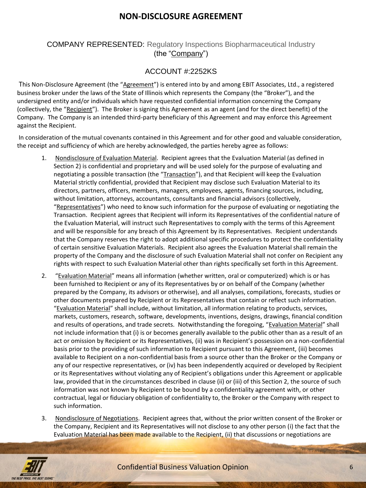## **NON-DISCLOSURE AGREEMENT**

#### COMPANY REPRESENTED: Regulatory Inspections Biopharmaceutical Industry (the "Company")

#### ACCOUNT #:2252KS

This Non-Disclosure Agreement (the "Agreement") is entered into by and among EBIT Associates, Ltd., a registered business broker under the laws of the State of Illinois which represents the Company (the "Broker"), and the undersigned entity and/or individuals which have requested confidential information concerning the Company (collectively, the "Recipient"). The Broker is signing this Agreement as an agent (and for the direct benefit) of the Company. The Company is an intended third-party beneficiary of this Agreement and may enforce this Agreement against the Recipient.

In consideration of the mutual covenants contained in this Agreement and for other good and valuable consideration, the receipt and sufficiency of which are hereby acknowledged, the parties hereby agree as follows:

- 1. Nondisclosure of Evaluation Material. Recipient agrees that the Evaluation Material (as defined in Section 2) is confidential and proprietary and will be used solely for the purpose of evaluating and negotiating a possible transaction (the "Transaction"), and that Recipient will keep the Evaluation Material strictly confidential, provided that Recipient may disclose such Evaluation Material to its directors, partners, officers, members, managers, employees, agents, financing sources, including, without limitation, attorneys, accountants, consultants and financial advisors (collectively, "Representatives") who need to know such information for the purpose of evaluating or negotiating the Transaction. Recipient agrees that Recipient will inform its Representatives of the confidential nature of the Evaluation Material, will instruct such Representatives to comply with the terms of this Agreement and will be responsible for any breach of this Agreement by its Representatives. Recipient understands that the Company reserves the right to adopt additional specific procedures to protect the confidentiality of certain sensitive Evaluation Materials. Recipient also agrees the Evaluation Material shall remain the property of the Company and the disclosure of such Evaluation Material shall not confer on Recipient any rights with respect to such Evaluation Material other than rights specifically set forth in this Agreement.
- 2. "Evaluation Material" means all information (whether written, oral or computerized) which is or has been furnished to Recipient or any of its Representatives by or on behalf of the Company (whether prepared by the Company, its advisors or otherwise), and all analyses, compilations, forecasts, studies or other documents prepared by Recipient or its Representatives that contain or reflect such information. "Evaluation Material" shall include, without limitation, all information relating to products, services, markets, customers, research, software, developments, inventions, designs, drawings, financial condition and results of operations, and trade secrets. Notwithstanding the foregoing, "Evaluation Material" shall not include information that (i) is or becomes generally available to the public other than as a result of an act or omission by Recipient or its Representatives, (ii) was in Recipient's possession on a non-confidential basis prior to the providing of such information to Recipient pursuant to this Agreement, (iii) becomes available to Recipient on a non-confidential basis from a source other than the Broker or the Company or any of our respective representatives, or (iv) has been independently acquired or developed by Recipient or its Representatives without violating any of Recipient's obligations under this Agreement or applicable law, provided that in the circumstances described in clause (ii) or (iii) of this Section 2, the source of such information was not known by Recipient to be bound by a confidentiality agreement with, or other contractual, legal or fiduciary obligation of confidentiality to, the Broker or the Company with respect to such information.
- 3. Nondisclosure of Negotiations. Recipient agrees that, without the prior written consent of the Broker or the Company, Recipient and its Representatives will not disclose to any other person (i) the fact that the Evaluation Material has been made available to the Recipient, (ii) that discussions or negotiations are

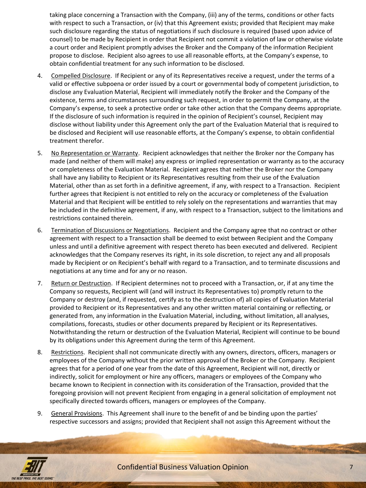taking place concerning a Transaction with the Company, (iii) any of the terms, conditions or other facts with respect to such a Transaction, or (iv) that this Agreement exists; provided that Recipient may make such disclosure regarding the status of negotiations if such disclosure is required (based upon advice of counsel) to be made by Recipient in order that Recipient not commit a violation of law or otherwise violate a court order and Recipient promptly advises the Broker and the Company of the information Recipient propose to disclose. Recipient also agrees to use all reasonable efforts, at the Company's expense, to obtain confidential treatment for any such information to be disclosed.

- 4. Compelled Disclosure. If Recipient or any of its Representatives receive a request, under the terms of a valid or effective subpoena or order issued by a court or governmental body of competent jurisdiction, to disclose any Evaluation Material, Recipient will immediately notify the Broker and the Company of the existence, terms and circumstances surrounding such request, in order to permit the Company, at the Company's expense, to seek a protective order or take other action that the Company deems appropriate. If the disclosure of such information is required in the opinion of Recipient's counsel, Recipient may disclose without liability under this Agreement only the part of the Evaluation Material that is required to be disclosed and Recipient will use reasonable efforts, at the Company's expense, to obtain confidential treatment therefor.
- 5. No Representation or Warranty. Recipient acknowledges that neither the Broker nor the Company has made (and neither of them will make) any express or implied representation or warranty as to the accuracy or completeness of the Evaluation Material. Recipient agrees that neither the Broker nor the Company shall have any liability to Recipient or its Representatives resulting from their use of the Evaluation Material, other than as set forth in a definitive agreement, if any, with respect to a Transaction. Recipient further agrees that Recipient is not entitled to rely on the accuracy or completeness of the Evaluation Material and that Recipient will be entitled to rely solely on the representations and warranties that may be included in the definitive agreement, if any, with respect to a Transaction, subject to the limitations and restrictions contained therein.
- 6. Termination of Discussions or Negotiations. Recipient and the Company agree that no contract or other agreement with respect to a Transaction shall be deemed to exist between Recipient and the Company unless and until a definitive agreement with respect thereto has been executed and delivered. Recipient acknowledges that the Company reserves its right, in its sole discretion, to reject any and all proposals made by Recipient or on Recipient's behalf with regard to a Transaction, and to terminate discussions and negotiations at any time and for any or no reason.
- 7. Return or Destruction. If Recipient determines not to proceed with a Transaction, or, if at any time the Company so requests, Recipient will (and will instruct its Representatives to) promptly return to the Company or destroy (and, if requested, certify as to the destruction of) all copies of Evaluation Material provided to Recipient or its Representatives and any other written material containing or reflecting, or generated from, any information in the Evaluation Material, including, without limitation, all analyses, compilations, forecasts, studies or other documents prepared by Recipient or its Representatives. Notwithstanding the return or destruction of the Evaluation Material, Recipient will continue to be bound by its obligations under this Agreement during the term of this Agreement.
- 8. Restrictions. Recipient shall not communicate directly with any owners, directors, officers, managers or employees of the Company without the prior written approval of the Broker or the Company. Recipient agrees that for a period of one year from the date of this Agreement, Recipient will not, directly or indirectly, solicit for employment or hire any officers, managers or employees of the Company who became known to Recipient in connection with its consideration of the Transaction, provided that the foregoing provision will not prevent Recipient from engaging in a general solicitation of employment not specifically directed towards officers, managers or employees of the Company.
- 9. General Provisions. This Agreement shall inure to the benefit of and be binding upon the parties' respective successors and assigns; provided that Recipient shall not assign this Agreement without the

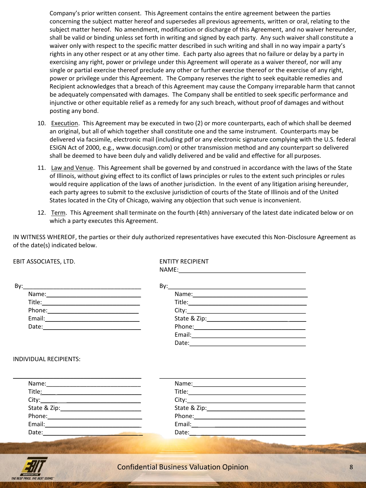Company's prior written consent. This Agreement contains the entire agreement between the parties concerning the subject matter hereof and supersedes all previous agreements, written or oral, relating to the subject matter hereof. No amendment, modification or discharge of this Agreement, and no waiver hereunder, shall be valid or binding unless set forth in writing and signed by each party. Any such waiver shall constitute a waiver only with respect to the specific matter described in such writing and shall in no way impair a party's rights in any other respect or at any other time. Each party also agrees that no failure or delay by a party in exercising any right, power or privilege under this Agreement will operate as a waiver thereof, nor will any single or partial exercise thereof preclude any other or further exercise thereof or the exercise of any right, power or privilege under this Agreement. The Company reserves the right to seek equitable remedies and Recipient acknowledges that a breach of this Agreement may cause the Company irreparable harm that cannot be adequately compensated with damages. The Company shall be entitled to seek specific performance and injunctive or other equitable relief as a remedy for any such breach, without proof of damages and without posting any bond.

- 10. Execution. This Agreement may be executed in two (2) or more counterparts, each of which shall be deemed an original, but all of which together shall constitute one and the same instrument. Counterparts may be delivered via facsimile, electronic mail (including pdf or any electronic signature complying with the U.S. federal ESIGN Act of 2000, e.g., www.docusign.com) or other transmission method and any counterpart so delivered shall be deemed to have been duly and validly delivered and be valid and effective for all purposes.
- 11. Law and Venue. This Agreement shall be governed by and construed in accordance with the laws of the State of Illinois, without giving effect to its conflict of laws principles or rules to the extent such principles or rules would require application of the laws of another jurisdiction. In the event of any litigation arising hereunder, each party agrees to submit to the exclusive jurisdiction of courts of the State of Illinois and of the United States located in the City of Chicago, waiving any objection that such venue is inconvenient.
- 12. Term. This Agreement shall terminate on the fourth (4th) anniversary of the latest date indicated below or on which a party executes this Agreement.

IN WITNESS WHEREOF, the parties or their duly authorized representatives have executed this Non-Disclosure Agreement as of the date(s) indicated below.

| EBIT ASSOCIATES, LTD.                                                                                                                                                                                                               | <b>ENTITY RECIPIENT</b>                                                                                                                                                                                                        |  |  |  |  |  |  |
|-------------------------------------------------------------------------------------------------------------------------------------------------------------------------------------------------------------------------------------|--------------------------------------------------------------------------------------------------------------------------------------------------------------------------------------------------------------------------------|--|--|--|--|--|--|
|                                                                                                                                                                                                                                     |                                                                                                                                                                                                                                |  |  |  |  |  |  |
|                                                                                                                                                                                                                                     |                                                                                                                                                                                                                                |  |  |  |  |  |  |
|                                                                                                                                                                                                                                     |                                                                                                                                                                                                                                |  |  |  |  |  |  |
|                                                                                                                                                                                                                                     |                                                                                                                                                                                                                                |  |  |  |  |  |  |
|                                                                                                                                                                                                                                     | City:                                                                                                                                                                                                                          |  |  |  |  |  |  |
|                                                                                                                                                                                                                                     |                                                                                                                                                                                                                                |  |  |  |  |  |  |
|                                                                                                                                                                                                                                     |                                                                                                                                                                                                                                |  |  |  |  |  |  |
|                                                                                                                                                                                                                                     |                                                                                                                                                                                                                                |  |  |  |  |  |  |
|                                                                                                                                                                                                                                     |                                                                                                                                                                                                                                |  |  |  |  |  |  |
|                                                                                                                                                                                                                                     |                                                                                                                                                                                                                                |  |  |  |  |  |  |
|                                                                                                                                                                                                                                     |                                                                                                                                                                                                                                |  |  |  |  |  |  |
|                                                                                                                                                                                                                                     |                                                                                                                                                                                                                                |  |  |  |  |  |  |
|                                                                                                                                                                                                                                     |                                                                                                                                                                                                                                |  |  |  |  |  |  |
| Phone: 2008 2012 2012 2013 2014 2015 2016 2017 2018 2019 2017 2018 2019 2017 2018 2019 2019 2019 2017 2018 201                                                                                                                      | Phone: Note and the second state of the second state of the second state of the second state of the second state of the second state of the second state of the second state of the second state of the second state of the se |  |  |  |  |  |  |
|                                                                                                                                                                                                                                     |                                                                                                                                                                                                                                |  |  |  |  |  |  |
| Date: <u>Date: Experimental and the second second</u> control and the second second second second second second second second second second second second second second second second second second second second second second sec | Date: and the contract of the contract of the contract of the contract of the contract of the contract of the contract of the contract of the contract of the contract of the contract of the contract of the contract of the  |  |  |  |  |  |  |
|                                                                                                                                                                                                                                     | <b>AND AND TAXABLE WEED PAPER FOR</b>                                                                                                                                                                                          |  |  |  |  |  |  |
|                                                                                                                                                                                                                                     |                                                                                                                                                                                                                                |  |  |  |  |  |  |
|                                                                                                                                                                                                                                     | the contract of the contract of the contract of the contract of the contract of the contract of the contract of<br>the contract of the contract of the contract of the contract of the contract of the contract of             |  |  |  |  |  |  |

,77 THE REST PRICE THE REST TERMS Confidential Business Valuation Opinion 8